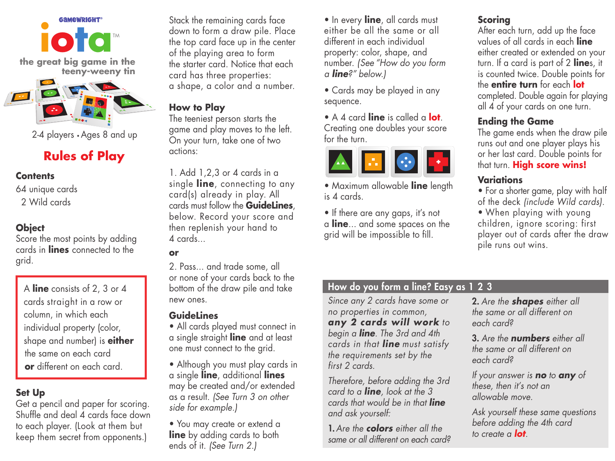

2-4 players • Ages 8 and up

# **Rules of Play**

#### **Contents**

64 unique cards 2 Wild cards

## **Object**

Score the most points by adding cards in **lines** connected to the grid.

 A **line** consists of 2, 3 or 4 cards straight in a row or column, in which each individual property (color, shape and number) is **either** the same on each card  **or** different on each card.

### **Set Up**

Get a pencil and paper for scoring. Shuffle and deal 4 cards face down to each player. (Look at them but keep them secret from opponents.)

Stack the remaining cards face down to form a draw pile. Place the top card face up in the center of the playing area to form the starter card. Notice that each card has three properties: a shape, a color and a number.

#### **How to Play**

The teeniest person starts the game and play moves to the left. On your turn, take one of two actions:

1. Add 1,2,3 or 4 cards in a single **line**, connecting to any card(s) already in play. All cards must follow the **GuideLines**, below. Record your score and then replenish your hand to 4 cards...

#### **or**

2. Pass... and trade some, all or none of your cards back to the bottom of the draw pile and take new ones.

#### **GuideLines**

• All cards played must connect in a single straight **line** and at least one must connect to the grid.

• Although you must play cards in a single **line**, additional **lines** may be created and/or extended as a result. *(See Turn 3 on other side for example.)*

• You may create or extend a **line** by adding cards to both ends of it. *(See Turn 2.)*

• In every **line**, all cards must either be all the same or all different in each individual property: color, shape, and number. *(See "How do you form a line?" below.)*

• Cards may be played in any sequence.

• A 4 card **line** is called a **lot**. Creating one doubles your score for the turn.



• Maximum allowable **line** length is 4 cards.

• If there are any gaps, it's not a **line**... and some spaces on the grid will be impossible to fill.

## **Scoring**

After each turn, add up the face values of all cards in each **line** either created or extended on your turn. If a card is part of 2 **line**s, it is counted twice. Double points for the **entire turn** for each **lot**  completed. Double again for playing all 4 of your cards on one turn.

### **Ending the Game**

The game ends when the draw pile runs out and one player plays his or her last card. Double points for that turn. **High score wins!**

### **Variations**

• For a shorter game, play with half of the deck *(include Wild cards)*.

• When playing with young children, ignore scoring: first player out of cards after the draw pile runs out wins.

### How do you form a line? Easy as 1 2 3

*Since any 2 cards have some or no properties in common, any 2 cards will work to begin a line. The 3rd and 4th cards in that line must satisfy the requirements set by the first 2 cards.*

*Therefore, before adding the 3rd card to a line, look at the 3 cards that would be in that line and ask yourself:*

1.*Are the colors either all the same or all different on each card?* 2. *Are the shapes either all the same or all different on each card?*

3. *Are the numbers either all the same or all different on each card?*

*If your answer is no to any of these, then it's not an allowable move.*

*Ask yourself these same questions before adding the 4th card to create a lot.*